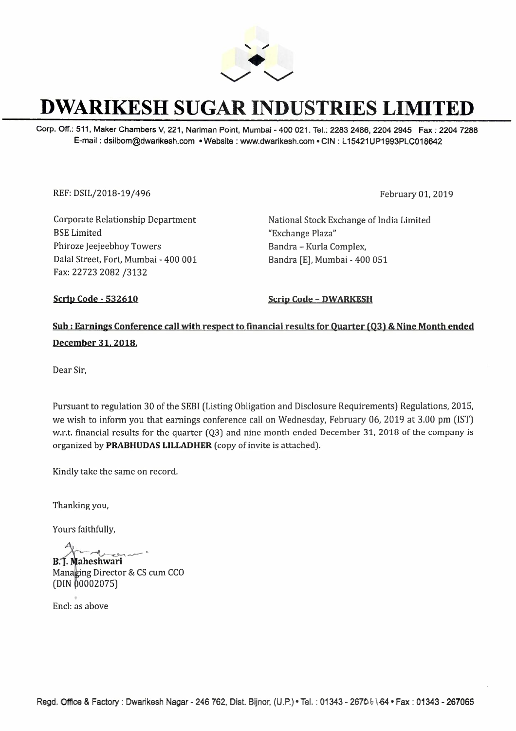

## **DWARIKESH SUGAR INDUSTRIES LIMITED**

Corp. Off.: 511, Maker Chambers V, 221, Nariman Point, Mumbai - 400 021. Tel.: 2283 2486, 2204 2945 Fax: 2204 7288 E-mail : dsilbom@dwarikesh.com • Website : www.dwarikesh.com • **CIN :** L 15421UP1993PLC018642

REF: DSIL/2018-19/496 February 01, 2019

Corporate Relationship Department BSE Limited Phiroze Jeejeebhoy Towers Dalal Street, Fort, Mumbai - 400 001 Fax: 22723 2082 /3132

National Stock Exchange of India Limited "Exchange Plaza" Bandra - Kurla Complex, Bandra [E], Mumbai - 400 051

**Scrip Code - 532610 Scrip Code - DWARKESH** 

## **Sub : Earnings Conference call with respect to financial results for Quarter (Q3)** & **Nine Month ended**  December 31, 2018.

Dear Sir,

Pursuant to regulation 30 of the SEBI (Listing Obligation and Disclosure Requirements) Regulations, 2015, we wish to inform you that earnings conference call on Wednesday, February 06, 2019 at 3.00 pm (1ST) w.r.t. financial results for the quarter (Q3) and nine month ended December 31, 2018 of the company is organized by **PRABHUDAS LILLADHER** (copy of invite is attached).

Kindly take the same on record.

Thanking you,

Yours faithfully,

**B.1**. Maheshwari Yours faithfully,<br> **B. J. Maheshwari**<br>
Managing Director & CS cum CCO **shwari**<br>**shwari** <sup>--</sup><br>River 2008

 $(DIN 00002075)$ 

Encl: as above